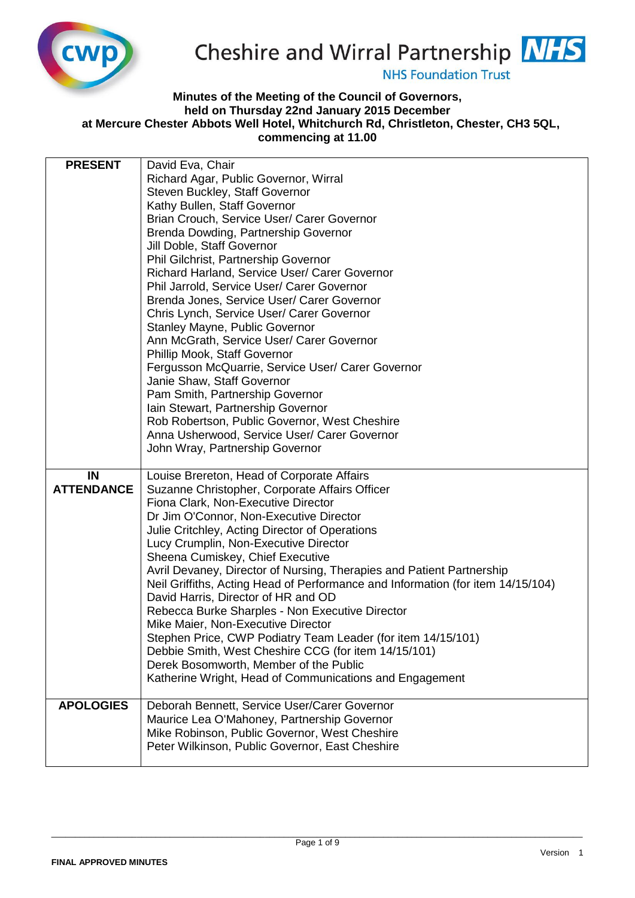

## Cheshire and Wirral Partnership NHS

**NHS Foundation Trust** 

## **Minutes of the Meeting of the Council of Governors, held on Thursday 22nd January 2015 December at Mercure Chester Abbots Well Hotel, Whitchurch Rd, Christleton, Chester, CH3 5QL, commencing at 11.00**

| <b>PRESENT</b>    | David Eva, Chair                                                                          |
|-------------------|-------------------------------------------------------------------------------------------|
|                   | Richard Agar, Public Governor, Wirral                                                     |
|                   | Steven Buckley, Staff Governor                                                            |
|                   | Kathy Bullen, Staff Governor                                                              |
|                   | Brian Crouch, Service User/ Carer Governor                                                |
|                   | Brenda Dowding, Partnership Governor                                                      |
|                   | Jill Doble, Staff Governor                                                                |
|                   | Phil Gilchrist, Partnership Governor                                                      |
|                   | Richard Harland, Service User/ Carer Governor                                             |
|                   | Phil Jarrold, Service User/ Carer Governor                                                |
|                   | Brenda Jones, Service User/ Carer Governor                                                |
|                   | Chris Lynch, Service User/ Carer Governor                                                 |
|                   | Stanley Mayne, Public Governor                                                            |
|                   | Ann McGrath, Service User/ Carer Governor                                                 |
|                   | Phillip Mook, Staff Governor                                                              |
|                   | Fergusson McQuarrie, Service User/ Carer Governor                                         |
|                   | Janie Shaw, Staff Governor                                                                |
|                   | Pam Smith, Partnership Governor                                                           |
|                   | Iain Stewart, Partnership Governor                                                        |
|                   | Rob Robertson, Public Governor, West Cheshire                                             |
|                   | Anna Usherwood, Service User/ Carer Governor                                              |
|                   | John Wray, Partnership Governor                                                           |
| IN                | Louise Brereton, Head of Corporate Affairs                                                |
|                   |                                                                                           |
| <b>ATTENDANCE</b> |                                                                                           |
|                   | Suzanne Christopher, Corporate Affairs Officer                                            |
|                   | Fiona Clark, Non-Executive Director                                                       |
|                   | Dr Jim O'Connor, Non-Executive Director<br>Julie Critchley, Acting Director of Operations |
|                   | Lucy Crumplin, Non-Executive Director                                                     |
|                   | Sheena Cumiskey, Chief Executive                                                          |
|                   | Avril Devaney, Director of Nursing, Therapies and Patient Partnership                     |
|                   | Neil Griffiths, Acting Head of Performance and Information (for item 14/15/104)           |
|                   | David Harris, Director of HR and OD                                                       |
|                   | Rebecca Burke Sharples - Non Executive Director                                           |
|                   | Mike Maier, Non-Executive Director                                                        |
|                   | Stephen Price, CWP Podiatry Team Leader (for item 14/15/101)                              |
|                   | Debbie Smith, West Cheshire CCG (for item 14/15/101)                                      |
|                   | Derek Bosomworth, Member of the Public                                                    |
|                   | Katherine Wright, Head of Communications and Engagement                                   |
| <b>APOLOGIES</b>  | Deborah Bennett, Service User/Carer Governor                                              |
|                   | Maurice Lea O'Mahoney, Partnership Governor                                               |
|                   | Mike Robinson, Public Governor, West Cheshire                                             |
|                   | Peter Wilkinson, Public Governor, East Cheshire                                           |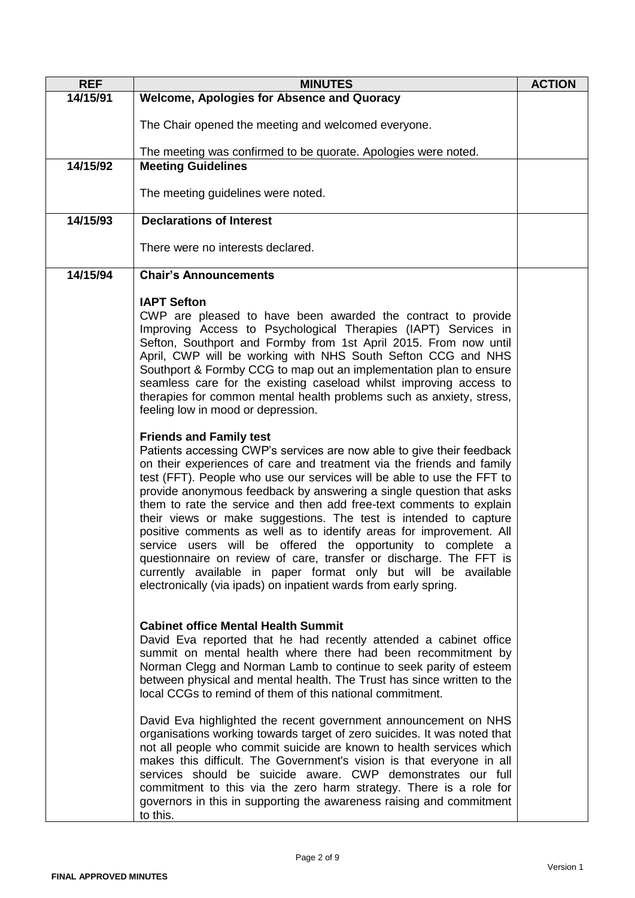| <b>REF</b> | <b>MINUTES</b>                                                                                                                                                                                                                                                                                                                                                                                                                                                                                                                                                                                                                                                                                                                                                                                                                 | <b>ACTION</b> |
|------------|--------------------------------------------------------------------------------------------------------------------------------------------------------------------------------------------------------------------------------------------------------------------------------------------------------------------------------------------------------------------------------------------------------------------------------------------------------------------------------------------------------------------------------------------------------------------------------------------------------------------------------------------------------------------------------------------------------------------------------------------------------------------------------------------------------------------------------|---------------|
| 14/15/91   | <b>Welcome, Apologies for Absence and Quoracy</b>                                                                                                                                                                                                                                                                                                                                                                                                                                                                                                                                                                                                                                                                                                                                                                              |               |
|            | The Chair opened the meeting and welcomed everyone.                                                                                                                                                                                                                                                                                                                                                                                                                                                                                                                                                                                                                                                                                                                                                                            |               |
|            | The meeting was confirmed to be quorate. Apologies were noted.                                                                                                                                                                                                                                                                                                                                                                                                                                                                                                                                                                                                                                                                                                                                                                 |               |
| 14/15/92   | <b>Meeting Guidelines</b>                                                                                                                                                                                                                                                                                                                                                                                                                                                                                                                                                                                                                                                                                                                                                                                                      |               |
|            | The meeting guidelines were noted.                                                                                                                                                                                                                                                                                                                                                                                                                                                                                                                                                                                                                                                                                                                                                                                             |               |
| 14/15/93   | <b>Declarations of Interest</b>                                                                                                                                                                                                                                                                                                                                                                                                                                                                                                                                                                                                                                                                                                                                                                                                |               |
|            | There were no interests declared.                                                                                                                                                                                                                                                                                                                                                                                                                                                                                                                                                                                                                                                                                                                                                                                              |               |
| 14/15/94   | <b>Chair's Announcements</b>                                                                                                                                                                                                                                                                                                                                                                                                                                                                                                                                                                                                                                                                                                                                                                                                   |               |
|            | <b>IAPT Sefton</b><br>CWP are pleased to have been awarded the contract to provide<br>Improving Access to Psychological Therapies (IAPT) Services in<br>Sefton, Southport and Formby from 1st April 2015. From now until<br>April, CWP will be working with NHS South Sefton CCG and NHS<br>Southport & Formby CCG to map out an implementation plan to ensure<br>seamless care for the existing caseload whilst improving access to<br>therapies for common mental health problems such as anxiety, stress,<br>feeling low in mood or depression.                                                                                                                                                                                                                                                                             |               |
|            | <b>Friends and Family test</b><br>Patients accessing CWP's services are now able to give their feedback<br>on their experiences of care and treatment via the friends and family<br>test (FFT). People who use our services will be able to use the FFT to<br>provide anonymous feedback by answering a single question that asks<br>them to rate the service and then add free-text comments to explain<br>their views or make suggestions. The test is intended to capture<br>positive comments as well as to identify areas for improvement. All<br>service users will be offered the opportunity to complete a<br>questionnaire on review of care, transfer or discharge. The FFT is<br>currently available in paper format only but will be available<br>electronically (via ipads) on inpatient wards from early spring. |               |
|            | <b>Cabinet office Mental Health Summit</b><br>David Eva reported that he had recently attended a cabinet office<br>summit on mental health where there had been recommitment by<br>Norman Clegg and Norman Lamb to continue to seek parity of esteem<br>between physical and mental health. The Trust has since written to the<br>local CCGs to remind of them of this national commitment.                                                                                                                                                                                                                                                                                                                                                                                                                                    |               |
|            | David Eva highlighted the recent government announcement on NHS<br>organisations working towards target of zero suicides. It was noted that<br>not all people who commit suicide are known to health services which<br>makes this difficult. The Government's vision is that everyone in all<br>services should be suicide aware. CWP demonstrates our full<br>commitment to this via the zero harm strategy. There is a role for<br>governors in this in supporting the awareness raising and commitment<br>to this.                                                                                                                                                                                                                                                                                                          |               |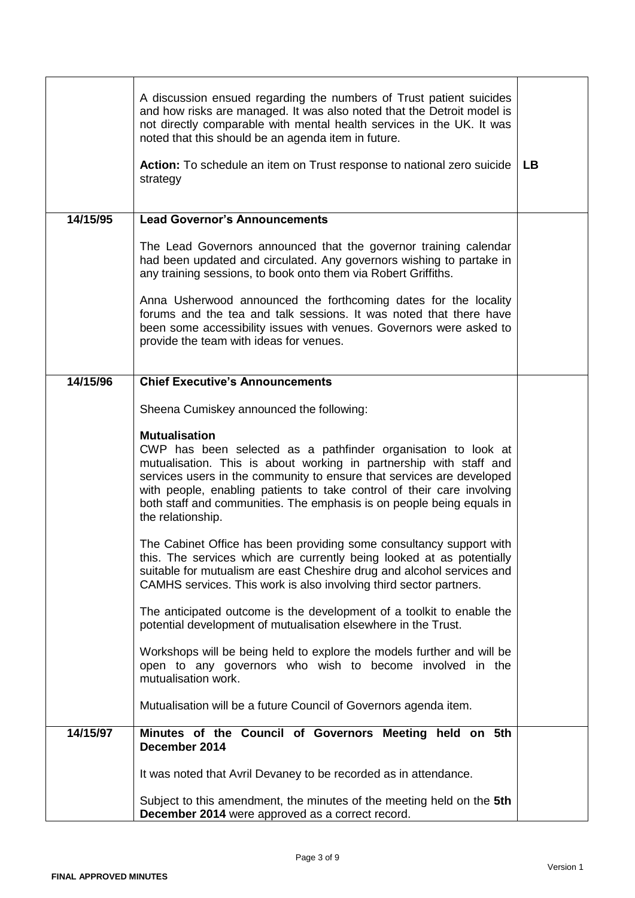|          | A discussion ensued regarding the numbers of Trust patient suicides<br>and how risks are managed. It was also noted that the Detroit model is<br>not directly comparable with mental health services in the UK. It was<br>noted that this should be an agenda item in future.<br>Action: To schedule an item on Trust response to national zero suicide<br>strategy                                          | <b>LB</b> |
|----------|--------------------------------------------------------------------------------------------------------------------------------------------------------------------------------------------------------------------------------------------------------------------------------------------------------------------------------------------------------------------------------------------------------------|-----------|
| 14/15/95 | <b>Lead Governor's Announcements</b>                                                                                                                                                                                                                                                                                                                                                                         |           |
|          | The Lead Governors announced that the governor training calendar<br>had been updated and circulated. Any governors wishing to partake in<br>any training sessions, to book onto them via Robert Griffiths.                                                                                                                                                                                                   |           |
|          | Anna Usherwood announced the forthcoming dates for the locality<br>forums and the tea and talk sessions. It was noted that there have<br>been some accessibility issues with venues. Governors were asked to<br>provide the team with ideas for venues.                                                                                                                                                      |           |
| 14/15/96 | <b>Chief Executive's Announcements</b>                                                                                                                                                                                                                                                                                                                                                                       |           |
|          | Sheena Cumiskey announced the following:                                                                                                                                                                                                                                                                                                                                                                     |           |
|          | <b>Mutualisation</b><br>CWP has been selected as a pathfinder organisation to look at<br>mutualisation. This is about working in partnership with staff and<br>services users in the community to ensure that services are developed<br>with people, enabling patients to take control of their care involving<br>both staff and communities. The emphasis is on people being equals in<br>the relationship. |           |
|          | The Cabinet Office has been providing some consultancy support with<br>this. The services which are currently being looked at as potentially<br>suitable for mutualism are east Cheshire drug and alcohol services and<br>CAMHS services. This work is also involving third sector partners.                                                                                                                 |           |
|          | The anticipated outcome is the development of a toolkit to enable the<br>potential development of mutualisation elsewhere in the Trust.                                                                                                                                                                                                                                                                      |           |
|          | Workshops will be being held to explore the models further and will be<br>open to any governors who wish to become involved in the<br>mutualisation work.                                                                                                                                                                                                                                                    |           |
|          | Mutualisation will be a future Council of Governors agenda item.                                                                                                                                                                                                                                                                                                                                             |           |
| 14/15/97 | Minutes of the Council of Governors Meeting held on 5th<br>December 2014                                                                                                                                                                                                                                                                                                                                     |           |
|          | It was noted that Avril Devaney to be recorded as in attendance.                                                                                                                                                                                                                                                                                                                                             |           |
|          | Subject to this amendment, the minutes of the meeting held on the 5th<br>December 2014 were approved as a correct record.                                                                                                                                                                                                                                                                                    |           |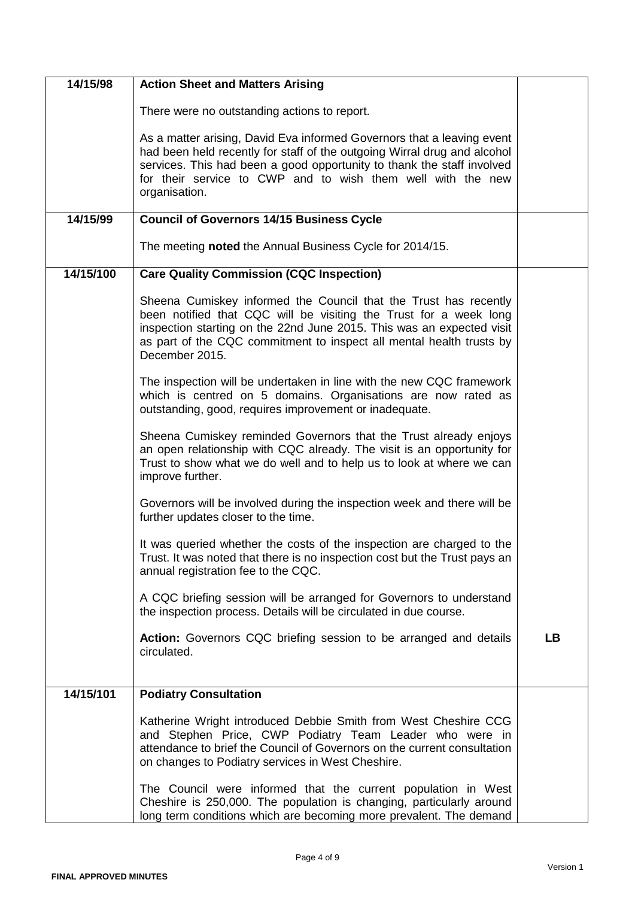| 14/15/98  | <b>Action Sheet and Matters Arising</b>                                                                                                                                                                                                                                                                      |           |
|-----------|--------------------------------------------------------------------------------------------------------------------------------------------------------------------------------------------------------------------------------------------------------------------------------------------------------------|-----------|
|           | There were no outstanding actions to report.                                                                                                                                                                                                                                                                 |           |
|           | As a matter arising, David Eva informed Governors that a leaving event<br>had been held recently for staff of the outgoing Wirral drug and alcohol<br>services. This had been a good opportunity to thank the staff involved<br>for their service to CWP and to wish them well with the new<br>organisation. |           |
| 14/15/99  | <b>Council of Governors 14/15 Business Cycle</b>                                                                                                                                                                                                                                                             |           |
|           | The meeting noted the Annual Business Cycle for 2014/15.                                                                                                                                                                                                                                                     |           |
| 14/15/100 | <b>Care Quality Commission (CQC Inspection)</b>                                                                                                                                                                                                                                                              |           |
|           | Sheena Cumiskey informed the Council that the Trust has recently<br>been notified that CQC will be visiting the Trust for a week long<br>inspection starting on the 22nd June 2015. This was an expected visit<br>as part of the CQC commitment to inspect all mental health trusts by<br>December 2015.     |           |
|           | The inspection will be undertaken in line with the new CQC framework<br>which is centred on 5 domains. Organisations are now rated as<br>outstanding, good, requires improvement or inadequate.                                                                                                              |           |
|           | Sheena Cumiskey reminded Governors that the Trust already enjoys<br>an open relationship with CQC already. The visit is an opportunity for<br>Trust to show what we do well and to help us to look at where we can<br>improve further.                                                                       |           |
|           | Governors will be involved during the inspection week and there will be<br>further updates closer to the time.                                                                                                                                                                                               |           |
|           | It was queried whether the costs of the inspection are charged to the<br>Trust. It was noted that there is no inspection cost but the Trust pays an<br>annual registration fee to the CQC.                                                                                                                   |           |
|           | A CQC briefing session will be arranged for Governors to understand<br>the inspection process. Details will be circulated in due course.                                                                                                                                                                     |           |
|           | Action: Governors CQC briefing session to be arranged and details<br>circulated.                                                                                                                                                                                                                             | <b>LB</b> |
| 14/15/101 | <b>Podiatry Consultation</b>                                                                                                                                                                                                                                                                                 |           |
|           | Katherine Wright introduced Debbie Smith from West Cheshire CCG<br>and Stephen Price, CWP Podiatry Team Leader who were in<br>attendance to brief the Council of Governors on the current consultation<br>on changes to Podiatry services in West Cheshire.                                                  |           |
|           | The Council were informed that the current population in West<br>Cheshire is 250,000. The population is changing, particularly around<br>long term conditions which are becoming more prevalent. The demand                                                                                                  |           |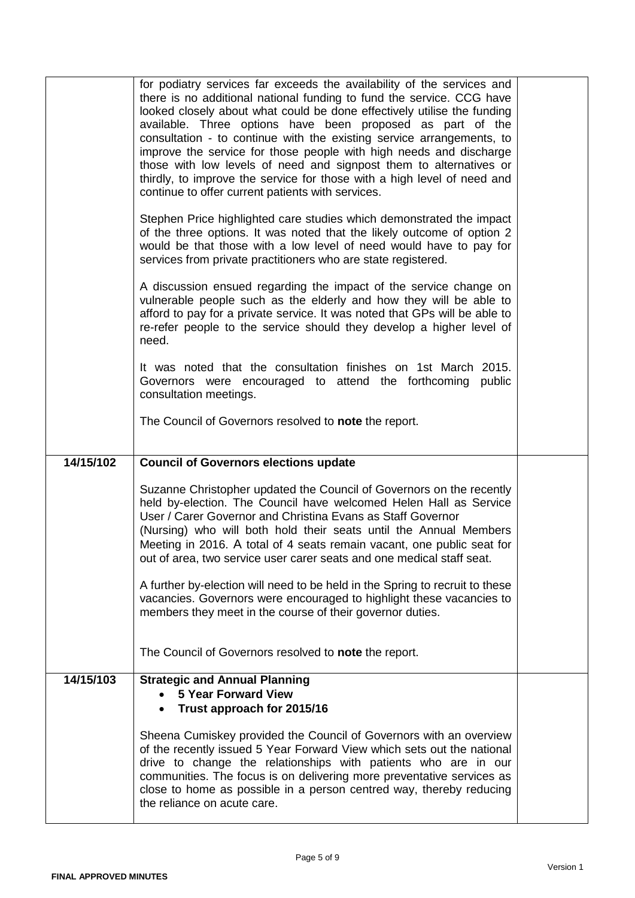|           | for podiatry services far exceeds the availability of the services and<br>there is no additional national funding to fund the service. CCG have<br>looked closely about what could be done effectively utilise the funding<br>available. Three options have been proposed as part of the<br>consultation - to continue with the existing service arrangements, to<br>improve the service for those people with high needs and discharge<br>those with low levels of need and signpost them to alternatives or<br>thirdly, to improve the service for those with a high level of need and<br>continue to offer current patients with services.<br>Stephen Price highlighted care studies which demonstrated the impact<br>of the three options. It was noted that the likely outcome of option 2<br>would be that those with a low level of need would have to pay for<br>services from private practitioners who are state registered.<br>A discussion ensued regarding the impact of the service change on<br>vulnerable people such as the elderly and how they will be able to<br>afford to pay for a private service. It was noted that GPs will be able to<br>re-refer people to the service should they develop a higher level of<br>need.<br>It was noted that the consultation finishes on 1st March 2015.<br>Governors were encouraged to attend the forthcoming public<br>consultation meetings.<br>The Council of Governors resolved to note the report. |  |
|-----------|---------------------------------------------------------------------------------------------------------------------------------------------------------------------------------------------------------------------------------------------------------------------------------------------------------------------------------------------------------------------------------------------------------------------------------------------------------------------------------------------------------------------------------------------------------------------------------------------------------------------------------------------------------------------------------------------------------------------------------------------------------------------------------------------------------------------------------------------------------------------------------------------------------------------------------------------------------------------------------------------------------------------------------------------------------------------------------------------------------------------------------------------------------------------------------------------------------------------------------------------------------------------------------------------------------------------------------------------------------------------------------------------------------------------------------------------------------------------|--|
| 14/15/102 | <b>Council of Governors elections update</b>                                                                                                                                                                                                                                                                                                                                                                                                                                                                                                                                                                                                                                                                                                                                                                                                                                                                                                                                                                                                                                                                                                                                                                                                                                                                                                                                                                                                                        |  |
|           | Suzanne Christopher updated the Council of Governors on the recently<br>held by-election. The Council have welcomed Helen Hall as Service<br>User / Carer Governor and Christina Evans as Staff Governor<br>(Nursing) who will both hold their seats until the Annual Members<br>Meeting in 2016. A total of 4 seats remain vacant, one public seat for<br>out of area, two service user carer seats and one medical staff seat.                                                                                                                                                                                                                                                                                                                                                                                                                                                                                                                                                                                                                                                                                                                                                                                                                                                                                                                                                                                                                                    |  |
|           | A further by-election will need to be held in the Spring to recruit to these<br>vacancies. Governors were encouraged to highlight these vacancies to<br>members they meet in the course of their governor duties.                                                                                                                                                                                                                                                                                                                                                                                                                                                                                                                                                                                                                                                                                                                                                                                                                                                                                                                                                                                                                                                                                                                                                                                                                                                   |  |
|           | The Council of Governors resolved to note the report.                                                                                                                                                                                                                                                                                                                                                                                                                                                                                                                                                                                                                                                                                                                                                                                                                                                                                                                                                                                                                                                                                                                                                                                                                                                                                                                                                                                                               |  |
| 14/15/103 | <b>Strategic and Annual Planning</b><br><b>5 Year Forward View</b><br>Trust approach for 2015/16<br>Sheena Cumiskey provided the Council of Governors with an overview<br>of the recently issued 5 Year Forward View which sets out the national<br>drive to change the relationships with patients who are in our<br>communities. The focus is on delivering more preventative services as                                                                                                                                                                                                                                                                                                                                                                                                                                                                                                                                                                                                                                                                                                                                                                                                                                                                                                                                                                                                                                                                         |  |
|           | close to home as possible in a person centred way, thereby reducing                                                                                                                                                                                                                                                                                                                                                                                                                                                                                                                                                                                                                                                                                                                                                                                                                                                                                                                                                                                                                                                                                                                                                                                                                                                                                                                                                                                                 |  |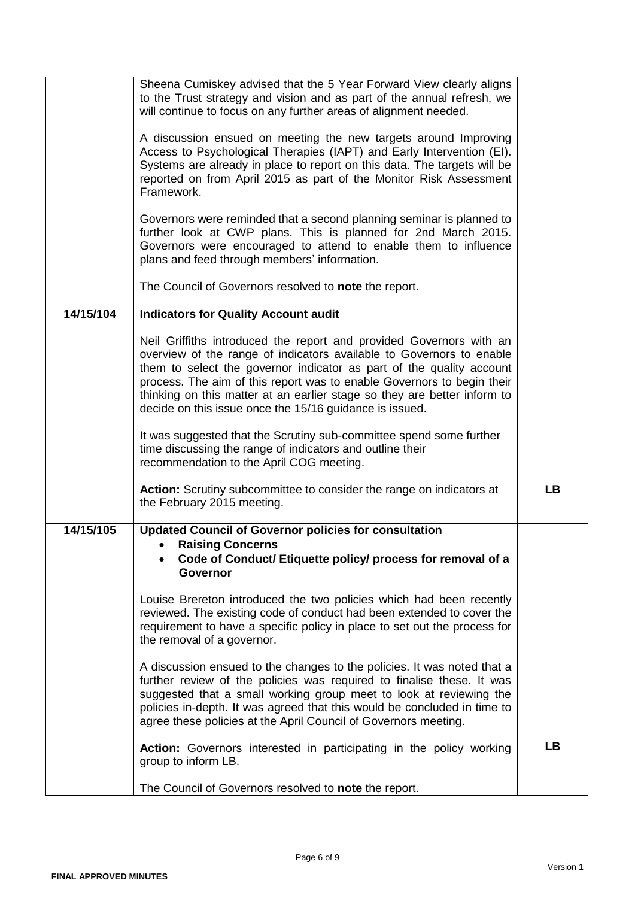|           | Sheena Cumiskey advised that the 5 Year Forward View clearly aligns<br>to the Trust strategy and vision and as part of the annual refresh, we<br>will continue to focus on any further areas of alignment needed.<br>A discussion ensued on meeting the new targets around Improving<br>Access to Psychological Therapies (IAPT) and Early Intervention (EI).<br>Systems are already in place to report on this data. The targets will be<br>reported on from April 2015 as part of the Monitor Risk Assessment<br>Framework.<br>Governors were reminded that a second planning seminar is planned to<br>further look at CWP plans. This is planned for 2nd March 2015.<br>Governors were encouraged to attend to enable them to influence<br>plans and feed through members' information. |           |
|-----------|--------------------------------------------------------------------------------------------------------------------------------------------------------------------------------------------------------------------------------------------------------------------------------------------------------------------------------------------------------------------------------------------------------------------------------------------------------------------------------------------------------------------------------------------------------------------------------------------------------------------------------------------------------------------------------------------------------------------------------------------------------------------------------------------|-----------|
|           | The Council of Governors resolved to note the report.                                                                                                                                                                                                                                                                                                                                                                                                                                                                                                                                                                                                                                                                                                                                      |           |
| 14/15/104 | <b>Indicators for Quality Account audit</b>                                                                                                                                                                                                                                                                                                                                                                                                                                                                                                                                                                                                                                                                                                                                                |           |
|           | Neil Griffiths introduced the report and provided Governors with an<br>overview of the range of indicators available to Governors to enable<br>them to select the governor indicator as part of the quality account<br>process. The aim of this report was to enable Governors to begin their<br>thinking on this matter at an earlier stage so they are better inform to<br>decide on this issue once the 15/16 guidance is issued.                                                                                                                                                                                                                                                                                                                                                       |           |
|           | It was suggested that the Scrutiny sub-committee spend some further<br>time discussing the range of indicators and outline their<br>recommendation to the April COG meeting.                                                                                                                                                                                                                                                                                                                                                                                                                                                                                                                                                                                                               |           |
|           | Action: Scrutiny subcommittee to consider the range on indicators at<br>the February 2015 meeting.                                                                                                                                                                                                                                                                                                                                                                                                                                                                                                                                                                                                                                                                                         | <b>LB</b> |
| 14/15/105 | <b>Updated Council of Governor policies for consultation</b><br><b>Raising Concerns</b><br>Code of Conduct/ Etiquette policy/ process for removal of a<br><b>Governor</b><br>Louise Brereton introduced the two policies which had been recently<br>reviewed. The existing code of conduct had been extended to cover the<br>requirement to have a specific policy in place to set out the process for<br>the removal of a governor.<br>A discussion ensued to the changes to the policies. It was noted that a<br>further review of the policies was required to finalise these. It was<br>suggested that a small working group meet to look at reviewing the<br>policies in-depth. It was agreed that this would be concluded in time to                                                 |           |
|           | agree these policies at the April Council of Governors meeting.<br>Action: Governors interested in participating in the policy working<br>group to inform LB.<br>The Council of Governors resolved to note the report.                                                                                                                                                                                                                                                                                                                                                                                                                                                                                                                                                                     | <b>LB</b> |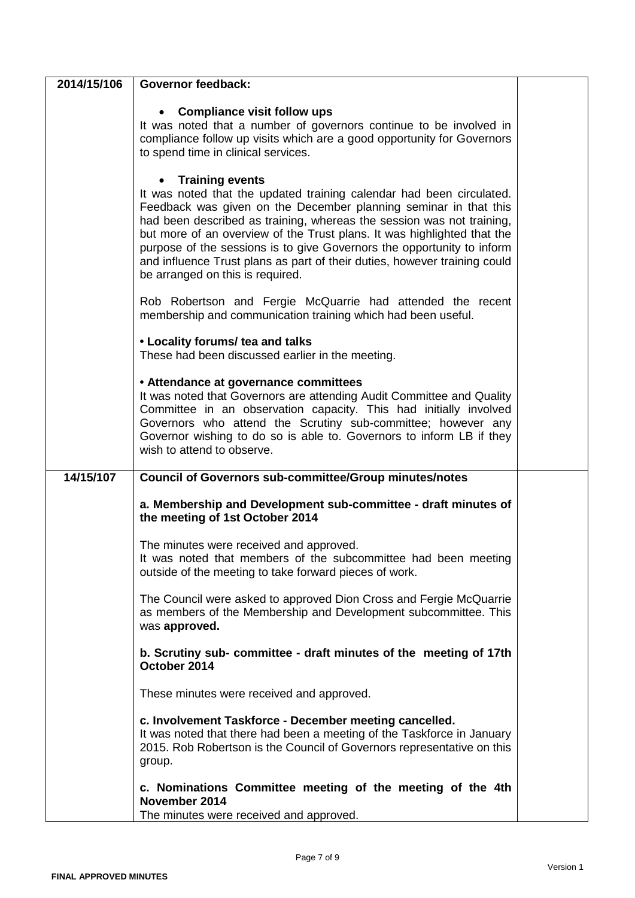| 2014/15/106 | <b>Governor feedback:</b>                                                                                                                                                                                                                                                                                                                                                                                                                                                                                         |  |
|-------------|-------------------------------------------------------------------------------------------------------------------------------------------------------------------------------------------------------------------------------------------------------------------------------------------------------------------------------------------------------------------------------------------------------------------------------------------------------------------------------------------------------------------|--|
|             | <b>Compliance visit follow ups</b><br>It was noted that a number of governors continue to be involved in<br>compliance follow up visits which are a good opportunity for Governors<br>to spend time in clinical services.                                                                                                                                                                                                                                                                                         |  |
|             | <b>Training events</b><br>It was noted that the updated training calendar had been circulated.<br>Feedback was given on the December planning seminar in that this<br>had been described as training, whereas the session was not training,<br>but more of an overview of the Trust plans. It was highlighted that the<br>purpose of the sessions is to give Governors the opportunity to inform<br>and influence Trust plans as part of their duties, however training could<br>be arranged on this is required. |  |
|             | Rob Robertson and Fergie McQuarrie had attended the recent<br>membership and communication training which had been useful.                                                                                                                                                                                                                                                                                                                                                                                        |  |
|             | • Locality forums/ tea and talks<br>These had been discussed earlier in the meeting.                                                                                                                                                                                                                                                                                                                                                                                                                              |  |
|             | • Attendance at governance committees<br>It was noted that Governors are attending Audit Committee and Quality<br>Committee in an observation capacity. This had initially involved<br>Governors who attend the Scrutiny sub-committee; however any<br>Governor wishing to do so is able to. Governors to inform LB if they<br>wish to attend to observe.                                                                                                                                                         |  |
| 14/15/107   | <b>Council of Governors sub-committee/Group minutes/notes</b>                                                                                                                                                                                                                                                                                                                                                                                                                                                     |  |
|             | a. Membership and Development sub-committee - draft minutes of<br>the meeting of 1st October 2014                                                                                                                                                                                                                                                                                                                                                                                                                 |  |
|             | The minutes were received and approved.<br>It was noted that members of the subcommittee had been meeting<br>outside of the meeting to take forward pieces of work.                                                                                                                                                                                                                                                                                                                                               |  |
|             | The Council were asked to approved Dion Cross and Fergie McQuarrie<br>as members of the Membership and Development subcommittee. This<br>was approved.                                                                                                                                                                                                                                                                                                                                                            |  |
|             | b. Scrutiny sub- committee - draft minutes of the meeting of 17th<br>October 2014                                                                                                                                                                                                                                                                                                                                                                                                                                 |  |
|             | These minutes were received and approved.                                                                                                                                                                                                                                                                                                                                                                                                                                                                         |  |
|             | c. Involvement Taskforce - December meeting cancelled.<br>It was noted that there had been a meeting of the Taskforce in January<br>2015. Rob Robertson is the Council of Governors representative on this<br>group.                                                                                                                                                                                                                                                                                              |  |
|             | c. Nominations Committee meeting of the meeting of the 4th<br>November 2014<br>The minutes were received and approved.                                                                                                                                                                                                                                                                                                                                                                                            |  |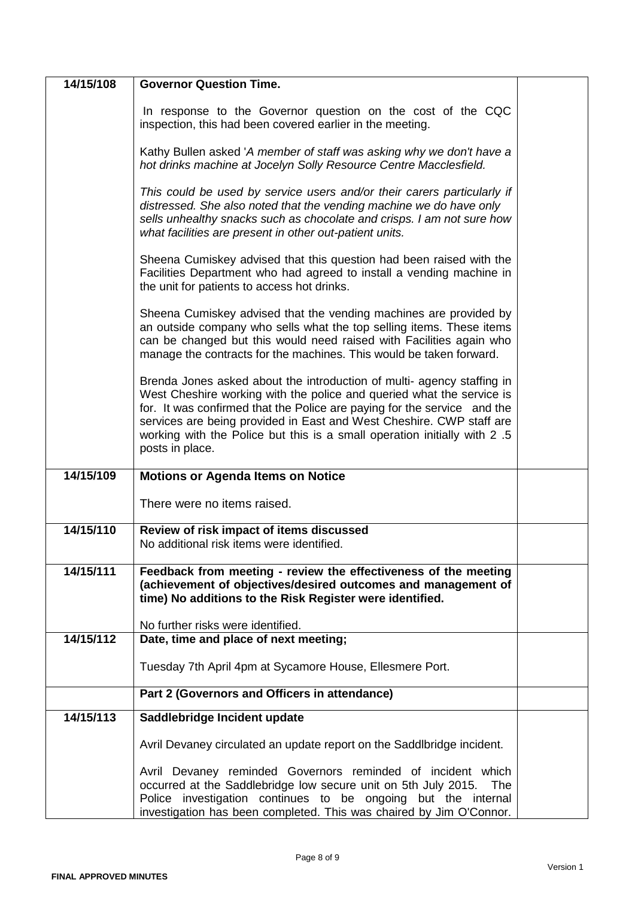| 14/15/108 | <b>Governor Question Time.</b>                                                                                                                                                                                                                                                                                                                                                                      |  |
|-----------|-----------------------------------------------------------------------------------------------------------------------------------------------------------------------------------------------------------------------------------------------------------------------------------------------------------------------------------------------------------------------------------------------------|--|
|           | In response to the Governor question on the cost of the CQC<br>inspection, this had been covered earlier in the meeting.                                                                                                                                                                                                                                                                            |  |
|           | Kathy Bullen asked 'A member of staff was asking why we don't have a<br>hot drinks machine at Jocelyn Solly Resource Centre Macclesfield.                                                                                                                                                                                                                                                           |  |
|           | This could be used by service users and/or their carers particularly if<br>distressed. She also noted that the vending machine we do have only<br>sells unhealthy snacks such as chocolate and crisps. I am not sure how<br>what facilities are present in other out-patient units.                                                                                                                 |  |
|           | Sheena Cumiskey advised that this question had been raised with the<br>Facilities Department who had agreed to install a vending machine in<br>the unit for patients to access hot drinks.                                                                                                                                                                                                          |  |
|           | Sheena Cumiskey advised that the vending machines are provided by<br>an outside company who sells what the top selling items. These items<br>can be changed but this would need raised with Facilities again who<br>manage the contracts for the machines. This would be taken forward.                                                                                                             |  |
|           | Brenda Jones asked about the introduction of multi- agency staffing in<br>West Cheshire working with the police and queried what the service is<br>for. It was confirmed that the Police are paying for the service and the<br>services are being provided in East and West Cheshire. CWP staff are<br>working with the Police but this is a small operation initially with 2 .5<br>posts in place. |  |
| 14/15/109 | <b>Motions or Agenda Items on Notice</b>                                                                                                                                                                                                                                                                                                                                                            |  |
|           | There were no items raised.                                                                                                                                                                                                                                                                                                                                                                         |  |
| 14/15/110 | Review of risk impact of items discussed<br>No additional risk items were identified.                                                                                                                                                                                                                                                                                                               |  |
| 14/15/111 | Feedback from meeting - review the effectiveness of the meeting<br>(achievement of objectives/desired outcomes and management of<br>time) No additions to the Risk Register were identified.                                                                                                                                                                                                        |  |
|           | No further risks were identified.                                                                                                                                                                                                                                                                                                                                                                   |  |
| 14/15/112 | Date, time and place of next meeting;                                                                                                                                                                                                                                                                                                                                                               |  |
|           | Tuesday 7th April 4pm at Sycamore House, Ellesmere Port.                                                                                                                                                                                                                                                                                                                                            |  |
|           | Part 2 (Governors and Officers in attendance)                                                                                                                                                                                                                                                                                                                                                       |  |
| 14/15/113 | Saddlebridge Incident update                                                                                                                                                                                                                                                                                                                                                                        |  |
|           | Avril Devaney circulated an update report on the Saddibridge incident.                                                                                                                                                                                                                                                                                                                              |  |
|           | Avril Devaney reminded Governors reminded of incident which<br>occurred at the Saddlebridge low secure unit on 5th July 2015.<br>The<br>Police investigation continues to be ongoing but the internal<br>investigation has been completed. This was chaired by Jim O'Connor.                                                                                                                        |  |